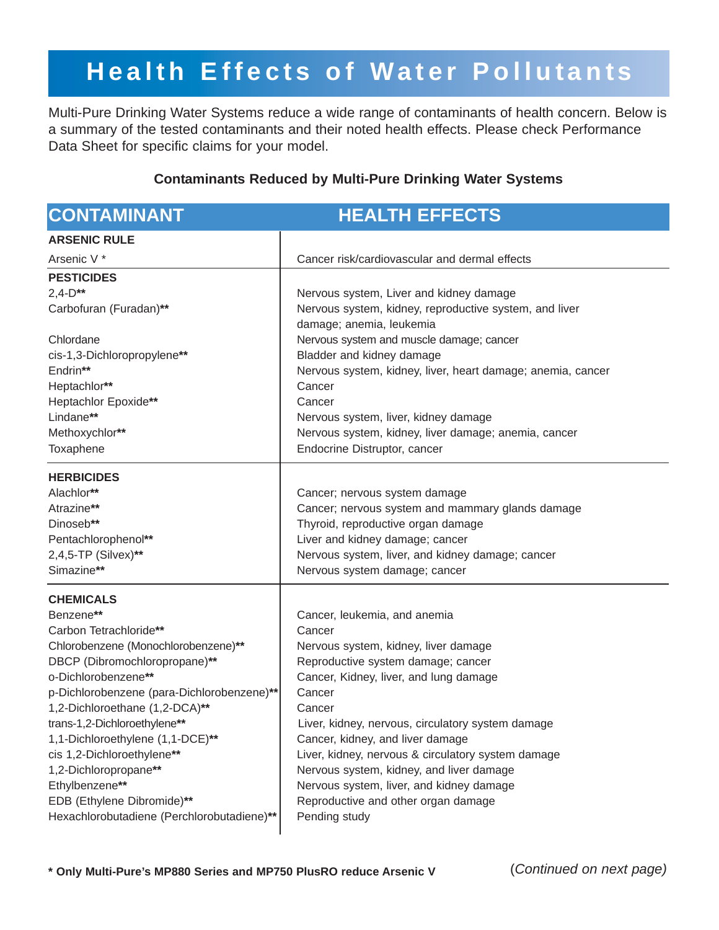# **Health Effects of Water Pollutants**

Multi-Pure Drinking Water Systems reduce a wide range of contaminants of health concern. Below is a summary of the tested contaminants and their noted health effects. Please check Performance Data Sheet for specific claims for your model.

## **Contaminants Reduced by Multi-Pure Drinking Water Systems**

| <b>CONTAMINANT</b>                                                                                                                                                                                                                                                                                                                                                                                                                                              | <b>HEALTH EFFECTS</b>                                                                                                                                                                                                                                                                                                                                                                                                                                                             |
|-----------------------------------------------------------------------------------------------------------------------------------------------------------------------------------------------------------------------------------------------------------------------------------------------------------------------------------------------------------------------------------------------------------------------------------------------------------------|-----------------------------------------------------------------------------------------------------------------------------------------------------------------------------------------------------------------------------------------------------------------------------------------------------------------------------------------------------------------------------------------------------------------------------------------------------------------------------------|
| <b>ARSENIC RULE</b>                                                                                                                                                                                                                                                                                                                                                                                                                                             |                                                                                                                                                                                                                                                                                                                                                                                                                                                                                   |
| Arsenic V <sup>*</sup>                                                                                                                                                                                                                                                                                                                                                                                                                                          | Cancer risk/cardiovascular and dermal effects                                                                                                                                                                                                                                                                                                                                                                                                                                     |
| <b>PESTICIDES</b><br>$2,4-D**$<br>Carbofuran (Furadan)**<br>Chlordane<br>cis-1,3-Dichloropropylene**<br>Endrin**<br>Heptachlor**<br>Heptachlor Epoxide**<br>Lindane**<br>Methoxychlor**<br>Toxaphene                                                                                                                                                                                                                                                            | Nervous system, Liver and kidney damage<br>Nervous system, kidney, reproductive system, and liver<br>damage; anemia, leukemia<br>Nervous system and muscle damage; cancer<br>Bladder and kidney damage<br>Nervous system, kidney, liver, heart damage; anemia, cancer<br>Cancer<br>Cancer<br>Nervous system, liver, kidney damage<br>Nervous system, kidney, liver damage; anemia, cancer<br>Endocrine Distruptor, cancer                                                         |
| <b>HERBICIDES</b><br>Alachlor**<br>Atrazine**<br>Dinoseb**<br>Pentachlorophenol**<br>2,4,5-TP (Silvex)**<br>Simazine**                                                                                                                                                                                                                                                                                                                                          | Cancer; nervous system damage<br>Cancer; nervous system and mammary glands damage<br>Thyroid, reproductive organ damage<br>Liver and kidney damage; cancer<br>Nervous system, liver, and kidney damage; cancer<br>Nervous system damage; cancer                                                                                                                                                                                                                                   |
| <b>CHEMICALS</b><br>Benzene**<br>Carbon Tetrachloride**<br>Chlorobenzene (Monochlorobenzene)**<br>DBCP (Dibromochloropropane)**<br>o-Dichlorobenzene**<br>p-Dichlorobenzene (para-Dichlorobenzene)**<br>1,2-Dichloroethane (1,2-DCA)**<br>trans-1,2-Dichloroethylene**<br>1,1-Dichloroethylene (1,1-DCE)**<br>cis 1,2-Dichloroethylene**<br>1,2-Dichloropropane**<br>Ethylbenzene**<br>EDB (Ethylene Dibromide)**<br>Hexachlorobutadiene (Perchlorobutadiene)** | Cancer, leukemia, and anemia<br>Cancer<br>Nervous system, kidney, liver damage<br>Reproductive system damage; cancer<br>Cancer, Kidney, liver, and lung damage<br>Cancer<br>Cancer<br>Liver, kidney, nervous, circulatory system damage<br>Cancer, kidney, and liver damage<br>Liver, kidney, nervous & circulatory system damage<br>Nervous system, kidney, and liver damage<br>Nervous system, liver, and kidney damage<br>Reproductive and other organ damage<br>Pending study |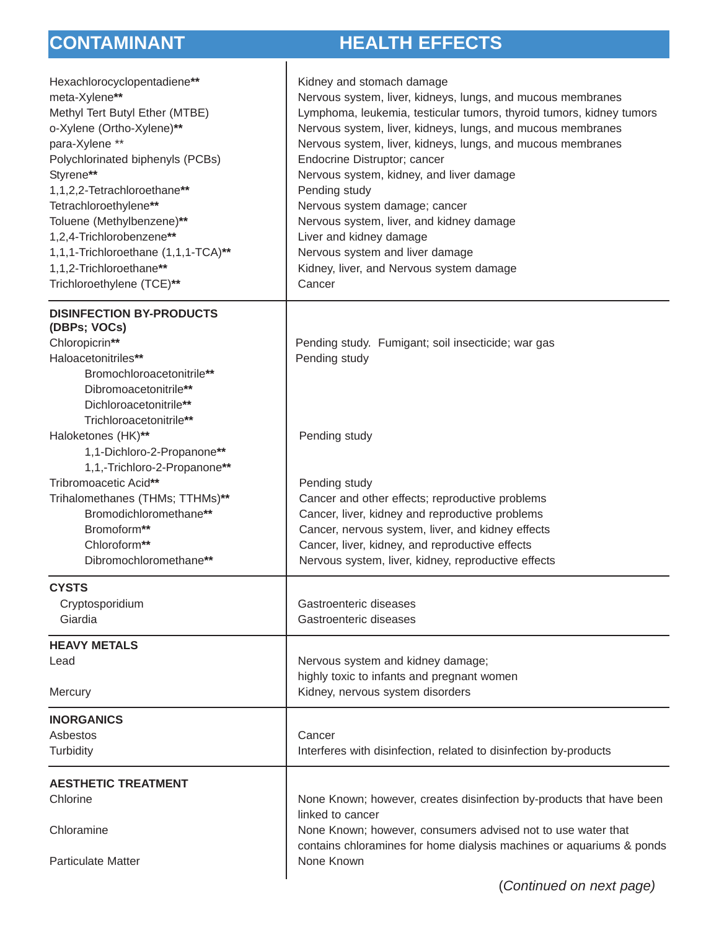## **CONTAMINANT HEALTH EFFECTS**

| Hexachlorocyclopentadiene**<br>meta-Xylene**<br>Methyl Tert Butyl Ether (MTBE)<br>o-Xylene (Ortho-Xylene)**<br>para-Xylene **<br>Polychlorinated biphenyls (PCBs)<br>Styrene**<br>1,1,2,2-Tetrachloroethane**<br>Tetrachloroethylene**<br>Toluene (Methylbenzene)**<br>1,2,4-Trichlorobenzene**<br>1,1,1-Trichloroethane (1,1,1-TCA)**<br>1,1,2-Trichloroethane**<br>Trichloroethylene (TCE)** | Kidney and stomach damage<br>Nervous system, liver, kidneys, lungs, and mucous membranes<br>Lymphoma, leukemia, testicular tumors, thyroid tumors, kidney tumors<br>Nervous system, liver, kidneys, lungs, and mucous membranes<br>Nervous system, liver, kidneys, lungs, and mucous membranes<br>Endocrine Distruptor; cancer<br>Nervous system, kidney, and liver damage<br>Pending study<br>Nervous system damage; cancer<br>Nervous system, liver, and kidney damage<br>Liver and kidney damage<br>Nervous system and liver damage<br>Kidney, liver, and Nervous system damage<br>Cancer |
|------------------------------------------------------------------------------------------------------------------------------------------------------------------------------------------------------------------------------------------------------------------------------------------------------------------------------------------------------------------------------------------------|----------------------------------------------------------------------------------------------------------------------------------------------------------------------------------------------------------------------------------------------------------------------------------------------------------------------------------------------------------------------------------------------------------------------------------------------------------------------------------------------------------------------------------------------------------------------------------------------|
| <b>DISINFECTION BY-PRODUCTS</b><br>(DBPs; VOCs)<br>Chloropicrin**<br>Haloacetonitriles**<br>Bromochloroacetonitrile**<br>Dibromoacetonitrile**<br>Dichloroacetonitrile**                                                                                                                                                                                                                       | Pending study. Fumigant; soil insecticide; war gas<br>Pending study                                                                                                                                                                                                                                                                                                                                                                                                                                                                                                                          |
| Trichloroacetonitrile**<br>Haloketones (HK)**<br>1,1-Dichloro-2-Propanone**                                                                                                                                                                                                                                                                                                                    | Pending study                                                                                                                                                                                                                                                                                                                                                                                                                                                                                                                                                                                |
| 1,1,-Trichloro-2-Propanone**<br>Tribromoacetic Acid**<br>Trihalomethanes (THMs; TTHMs)**<br>Bromodichloromethane**<br>Bromoform**<br>Chloroform**<br>Dibromochloromethane**                                                                                                                                                                                                                    | Pending study<br>Cancer and other effects; reproductive problems<br>Cancer, liver, kidney and reproductive problems<br>Cancer, nervous system, liver, and kidney effects<br>Cancer, liver, kidney, and reproductive effects<br>Nervous system, liver, kidney, reproductive effects                                                                                                                                                                                                                                                                                                           |
| <b>CYSTS</b><br>Cryptosporidium<br>Giardia                                                                                                                                                                                                                                                                                                                                                     | Gastroenteric diseases<br>Gastroenteric diseases                                                                                                                                                                                                                                                                                                                                                                                                                                                                                                                                             |
| <b>HEAVY METALS</b>                                                                                                                                                                                                                                                                                                                                                                            |                                                                                                                                                                                                                                                                                                                                                                                                                                                                                                                                                                                              |
| Lead<br>Mercury                                                                                                                                                                                                                                                                                                                                                                                | Nervous system and kidney damage;<br>highly toxic to infants and pregnant women<br>Kidney, nervous system disorders                                                                                                                                                                                                                                                                                                                                                                                                                                                                          |
| <b>INORGANICS</b><br>Asbestos<br>Turbidity                                                                                                                                                                                                                                                                                                                                                     | Cancer<br>Interferes with disinfection, related to disinfection by-products                                                                                                                                                                                                                                                                                                                                                                                                                                                                                                                  |
| <b>AESTHETIC TREATMENT</b>                                                                                                                                                                                                                                                                                                                                                                     |                                                                                                                                                                                                                                                                                                                                                                                                                                                                                                                                                                                              |
| Chlorine                                                                                                                                                                                                                                                                                                                                                                                       | None Known; however, creates disinfection by-products that have been                                                                                                                                                                                                                                                                                                                                                                                                                                                                                                                         |
| Chloramine<br><b>Particulate Matter</b>                                                                                                                                                                                                                                                                                                                                                        | linked to cancer<br>None Known; however, consumers advised not to use water that<br>contains chloramines for home dialysis machines or aquariums & ponds<br>None Known                                                                                                                                                                                                                                                                                                                                                                                                                       |
|                                                                                                                                                                                                                                                                                                                                                                                                |                                                                                                                                                                                                                                                                                                                                                                                                                                                                                                                                                                                              |

(*Continued on next page)*